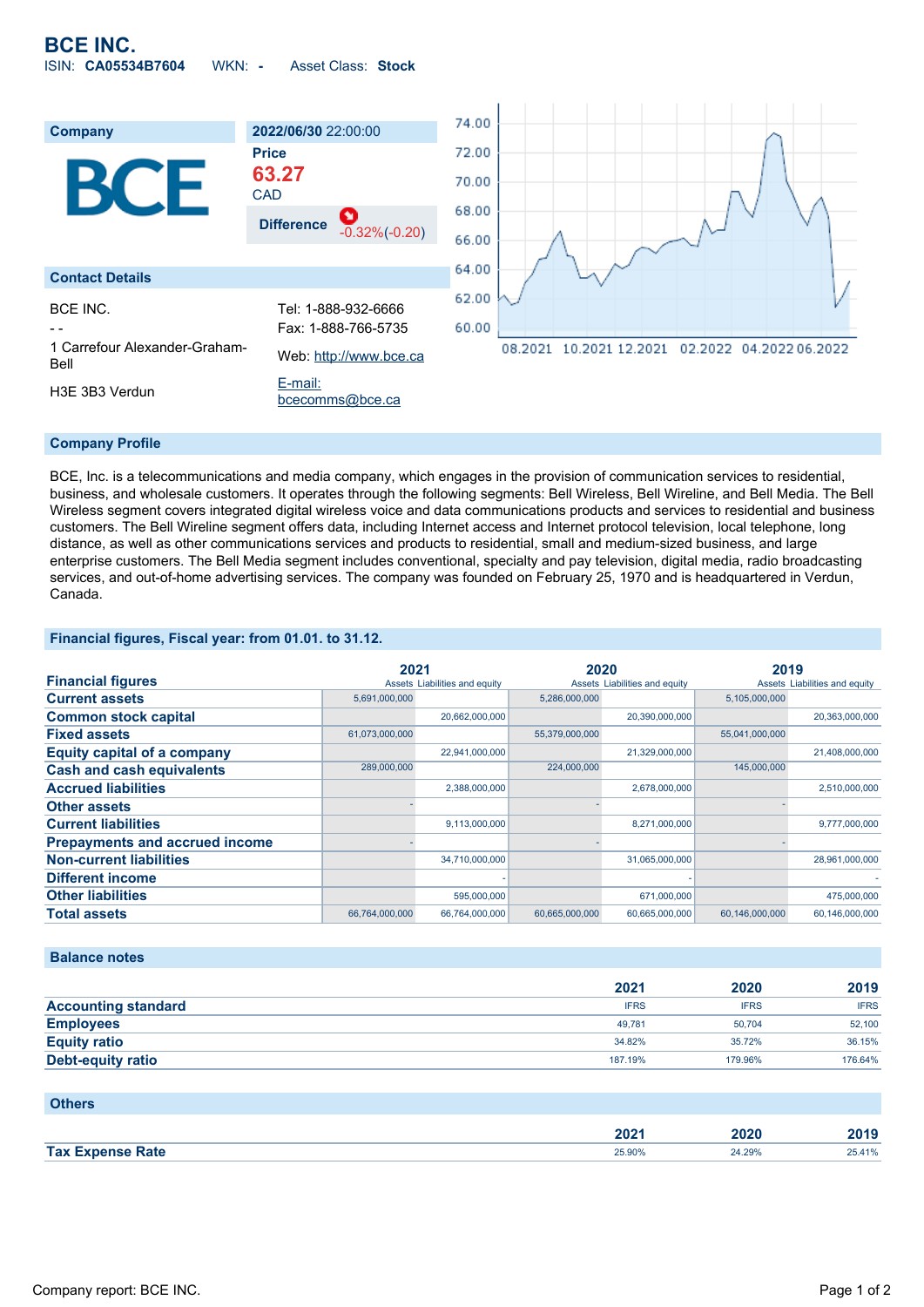

#### **Company Profile**

BCE, Inc. is a telecommunications and media company, which engages in the provision of communication services to residential, business, and wholesale customers. It operates through the following segments: Bell Wireless, Bell Wireline, and Bell Media. The Bell Wireless segment covers integrated digital wireless voice and data communications products and services to residential and business customers. The Bell Wireline segment offers data, including Internet access and Internet protocol television, local telephone, long distance, as well as other communications services and products to residential, small and medium-sized business, and large enterprise customers. The Bell Media segment includes conventional, specialty and pay television, digital media, radio broadcasting services, and out-of-home advertising services. The company was founded on February 25, 1970 and is headquartered in Verdun, Canada.

### **Financial figures, Fiscal year: from 01.01. to 31.12.**

|                                       | 2021           |                               | 2020           |                               | 2019           |                               |
|---------------------------------------|----------------|-------------------------------|----------------|-------------------------------|----------------|-------------------------------|
| <b>Financial figures</b>              |                | Assets Liabilities and equity |                | Assets Liabilities and equity |                | Assets Liabilities and equity |
| <b>Current assets</b>                 | 5,691,000,000  |                               | 5,286,000,000  |                               | 5,105,000,000  |                               |
| <b>Common stock capital</b>           |                | 20,662,000,000                |                | 20,390,000,000                |                | 20,363,000,000                |
| <b>Fixed assets</b>                   | 61,073,000,000 |                               | 55,379,000,000 |                               | 55,041,000,000 |                               |
| <b>Equity capital of a company</b>    |                | 22,941,000,000                |                | 21,329,000,000                |                | 21,408,000,000                |
| <b>Cash and cash equivalents</b>      | 289,000,000    |                               | 224,000,000    |                               | 145,000,000    |                               |
| <b>Accrued liabilities</b>            |                | 2,388,000,000                 |                | 2,678,000,000                 |                | 2,510,000,000                 |
| <b>Other assets</b>                   |                |                               |                |                               |                |                               |
| <b>Current liabilities</b>            |                | 9,113,000,000                 |                | 8,271,000,000                 |                | 9,777,000,000                 |
| <b>Prepayments and accrued income</b> |                |                               |                |                               |                |                               |
| <b>Non-current liabilities</b>        |                | 34,710,000,000                |                | 31,065,000,000                |                | 28,961,000,000                |
| <b>Different income</b>               |                |                               |                |                               |                |                               |
| <b>Other liabilities</b>              |                | 595,000,000                   |                | 671,000,000                   |                | 475,000,000                   |
| <b>Total assets</b>                   | 66,764,000,000 | 66,764,000,000                | 60,665,000,000 | 60,665,000,000                | 60,146,000,000 | 60,146,000,000                |

#### **Balance notes**

|                            | 2021        | 2020        | 2019        |
|----------------------------|-------------|-------------|-------------|
| <b>Accounting standard</b> | <b>IFRS</b> | <b>IFRS</b> | <b>IFRS</b> |
| <b>Employees</b>           | 49.781      | 50.704      | 52,100      |
| <b>Equity ratio</b>        | 34.82%      | 35.72%      | 36.15%      |
| <b>Debt-equity ratio</b>   | 187.19%     | 179.96%     | 176.64%     |

| <b>Others</b>           |        |        |        |
|-------------------------|--------|--------|--------|
|                         | 2021   | 2020   | 2019   |
| <b>Tax Expense Rate</b> | 25.90% | 24.29% | 25.41% |